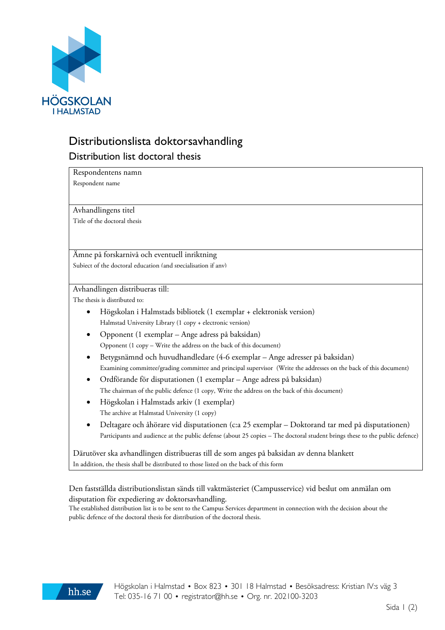

# Distributionslista doktorsavhandling Distribution list doctoral thesis

Respondentens namn

Respondent name

Avhandlingens titel

Title of the doctoral thesis

### Ämne på forskarnivå och eventuell inriktning

Subject of the doctoral education (and specialisation if any)

#### Avhandlingen distribueras till:

The thesis is distributed to:

- Högskolan i Halmstads bibliotek (1 exemplar + elektronisk version) Halmstad University Library (1 copy + electronic version)
- Opponent (1 exemplar Ange adress på baksidan) Opponent (1 copy – Write the address on the back of this document)
- Betygsnämnd och huvudhandledare (4-6 exemplar Ange adresser på baksidan) Examining committee/grading committee and principal supervisor (Write the addresses on the back of this document)
- Ordförande för disputationen (1 exemplar Ange adress på baksidan) The chairman of the public defence (1 copy, Write the address on the back of this document)
- Högskolan i Halmstads arkiv (1 exemplar) The archive at Halmstad University (1 copy)
- Deltagare och åhörare vid disputationen (c:a 25 exemplar Doktorand tar med på disputationen) Participants and audience at the public defense (about 25 copies – The doctoral student brings these to the public defence)

Därutöver ska avhandlingen distribueras till de som anges på baksidan av denna blankett In addition, the thesis shall be distributed to those listed on the back of this form

## Den fastställda distributionslistan sänds till vaktmästeriet (Campusservice) vid beslut om anmälan om disputation för expediering av doktorsavhandling.

The established distribution list is to be sent to the Campus Services department in connection with the decision about the public defence of the doctoral thesis for distribution of the doctoral thesis.